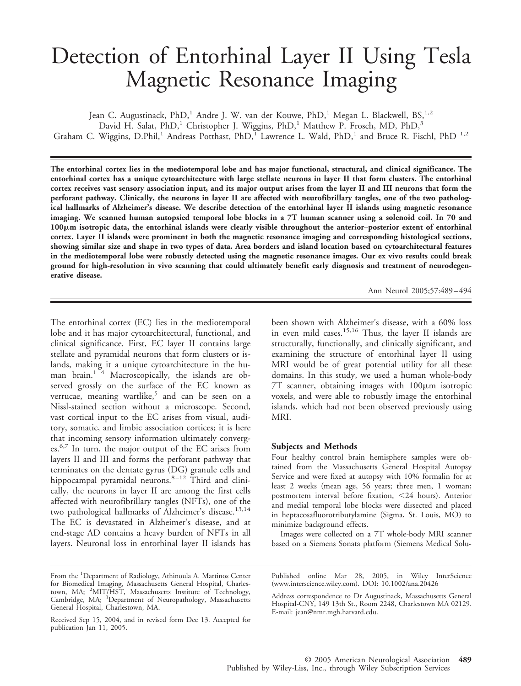# Detection of Entorhinal Layer II Using Tesla Magnetic Resonance Imaging

Jean C. Augustinack, PhD,<sup>1</sup> Andre J. W. van der Kouwe, PhD,<sup>1</sup> Megan L. Blackwell, BS,<sup>1,2</sup>

David H. Salat, PhD,<sup>1</sup> Christopher J. Wiggins, PhD,<sup>1</sup> Matthew P. Frosch, MD, PhD,<sup>3</sup>

Graham C. Wiggins, D.Phil,<sup>1</sup> Andreas Potthast, PhD,<sup>1</sup> Lawrence L. Wald, PhD,<sup>1</sup> and Bruce R. Fischl, PhD<sup>1,2</sup>

**The entorhinal cortex lies in the mediotemporal lobe and has major functional, structural, and clinical significance. The entorhinal cortex has a unique cytoarchitecture with large stellate neurons in layer II that form clusters. The entorhinal cortex receives vast sensory association input, and its major output arises from the layer II and III neurons that form the perforant pathway. Clinically, the neurons in layer II are affected with neurofibrillary tangles, one of the two pathological hallmarks of Alzheimer's disease. We describe detection of the entorhinal layer II islands using magnetic resonance imaging. We scanned human autopsied temporal lobe blocks in a 7T human scanner using a solenoid coil. In 70 and 100m isotropic data, the entorhinal islands were clearly visible throughout the anterior–posterior extent of entorhinal cortex. Layer II islands were prominent in both the magnetic resonance imaging and corresponding histological sections, showing similar size and shape in two types of data. Area borders and island location based on cytoarchitectural features in the mediotemporal lobe were robustly detected using the magnetic resonance images. Our ex vivo results could break ground for high-resolution in vivo scanning that could ultimately benefit early diagnosis and treatment of neurodegenerative disease.**

Ann Neurol 2005;57:489 – 494

The entorhinal cortex (EC) lies in the mediotemporal lobe and it has major cytoarchitectural, functional, and clinical significance. First, EC layer II contains large stellate and pyramidal neurons that form clusters or islands, making it a unique cytoarchitecture in the human brain. $1-\frac{1}{4}$  Macroscopically, the islands are observed grossly on the surface of the EC known as verrucae, meaning wartlike,<sup>5</sup> and can be seen on a Nissl-stained section without a microscope. Second, vast cortical input to the EC arises from visual, auditory, somatic, and limbic association cortices; it is here that incoming sensory information ultimately converges.6,7 In turn, the major output of the EC arises from layers II and III and forms the perforant pathway that terminates on the dentate gyrus (DG) granule cells and hippocampal pyramidal neurons. $8-12$  Third and clinically, the neurons in layer II are among the first cells affected with neurofibrillary tangles (NFTs), one of the two pathological hallmarks of Alzheimer's disease.<sup>13,14</sup> The EC is devastated in Alzheimer's disease, and at end-stage AD contains a heavy burden of NFTs in all layers. Neuronal loss in entorhinal layer II islands has

been shown with Alzheimer's disease, with a 60% loss in even mild cases.15,16 Thus, the layer II islands are structurally, functionally, and clinically significant, and examining the structure of entorhinal layer II using MRI would be of great potential utility for all these domains. In this study, we used a human whole-body  $7T$  scanner, obtaining images with  $100 \mu m$  isotropic voxels, and were able to robustly image the entorhinal islands, which had not been observed previously using MRI.

## **Subjects and Methods**

Four healthy control brain hemisphere samples were obtained from the Massachusetts General Hospital Autopsy Service and were fixed at autopsy with 10% formalin for at least 2 weeks (mean age, 56 years; three men, 1 woman; postmortem interval before fixation, <24 hours). Anterior and medial temporal lobe blocks were dissected and placed in heptacosafluorotributylamine (Sigma, St. Louis, MO) to minimize background effects.

Images were collected on a 7T whole-body MRI scanner based on a Siemens Sonata platform (Siemens Medical Solu-

From the <sup>1</sup>Department of Radiology, Athinoula A. Martinos Center for Biomedical Imaging, Massachusetts General Hospital, Charlestown, MA; <sup>2</sup> MIT/HST, Massachusetts Institute of Technology, Cambridge, MA; <sup>3</sup>Department of Neuropathology, Massachusetts General Hospital, Charlestown, MA.

Published online Mar 28, 2005, in Wiley InterScience (www.interscience.wiley.com). DOI: 10.1002/ana.20426

Address correspondence to Dr Augustinack, Massachusetts General Hospital-CNY, 149 13th St., Room 2248, Charlestown MA 02129. E-mail: jean@nmr.mgh.harvard.edu.

Received Sep 15, 2004, and in revised form Dec 13. Accepted for publication Jan 11, 2005.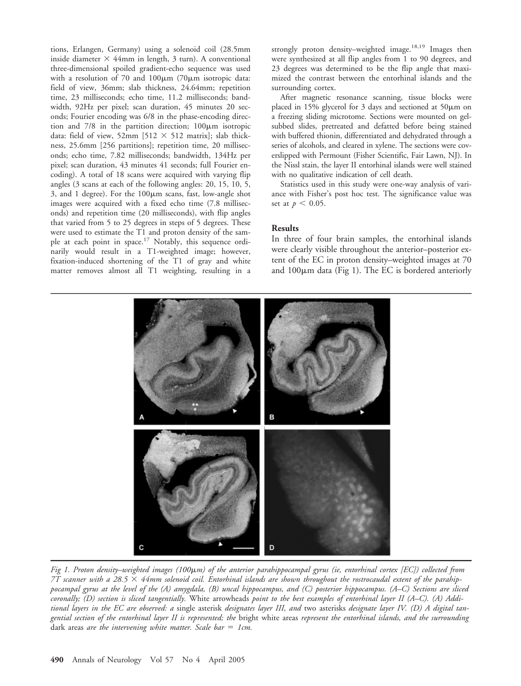tions, Erlangen, Germany) using a solenoid coil (28.5mm inside diameter  $\times$  44mm in length, 3 turn). A conventional three-dimensional spoiled gradient-echo sequence was used with a resolution of 70 and  $100 \mu m$  (70 $\mu m$  isotropic data: field of view, 36mm; slab thickness, 24.64mm; repetition time, 23 milliseconds; echo time, 11.2 milliseconds; bandwidth, 92Hz per pixel; scan duration, 45 minutes 20 seconds; Fourier encoding was 6/8 in the phase-encoding direction and  $7/8$  in the partition direction;  $100 \mu m$  isotropic data: field of view, 52mm [512  $\times$  512 matrix]; slab thickness, 25.6mm [256 partitions]; repetition time, 20 milliseconds; echo time, 7.82 milliseconds; bandwidth, 134Hz per pixel; scan duration, 43 minutes 41 seconds; full Fourier encoding). A total of 18 scans were acquired with varying flip angles (3 scans at each of the following angles: 20, 15, 10, 5,  $3$ , and 1 degree). For the 100 $\mu$ m scans, fast, low-angle shot images were acquired with a fixed echo time (7.8 milliseconds) and repetition time (20 milliseconds), with flip angles that varied from 5 to 25 degrees in steps of 5 degrees. These were used to estimate the T1 and proton density of the sample at each point in space.17 Notably, this sequence ordinarily would result in a T1-weighted image; however, fixation-induced shortening of the T1 of gray and white matter removes almost all T1 weighting, resulting in a

strongly proton density–weighted image.<sup>18,19</sup> Images then were synthesized at all flip angles from 1 to 90 degrees, and 23 degrees was determined to be the flip angle that maximized the contrast between the entorhinal islands and the surrounding cortex.

After magnetic resonance scanning, tissue blocks were placed in 15% glycerol for 3 days and sectioned at  $50 \mu m$  on a freezing sliding microtome. Sections were mounted on gelsubbed slides, pretreated and defatted before being stained with buffered thionin, differentiated and dehydrated through a series of alcohols, and cleared in xylene. The sections were coverslipped with Permount (Fisher Scientific, Fair Lawn, NJ). In the Nissl stain, the layer II entorhinal islands were well stained with no qualitative indication of cell death.

Statistics used in this study were one-way analysis of variance with Fisher's post hoc test. The significance value was set at  $p < 0.05$ .

### **Results**

In three of four brain samples, the entorhinal islands were clearly visible throughout the anterior–posterior extent of the EC in proton density–weighted images at 70 and  $100 \mu m$  data (Fig 1). The EC is bordered anteriorly



*Fig 1. Proton density–weighted images (100m) of the anterior parahippocampal gyrus (ie, entorhinal cortex [EC]) collected from 7T scanner with a 28.5 44mm solenoid coil. Entorhinal islands are shown throughout the rostrocaudal extent of the parahippocampal gyrus at the level of the (A) amygdala, (B) uncal hippocampus, and (C) posterior hippocampus. (A–C) Sections are sliced coronally; (D) section is sliced tangentially.* White arrowheads *point to the best examples of entorhinal layer II (A–C). (A) Additional layers in the EC are observed: a* single asterisk *designates layer III, and* two asterisks *designate layer IV. (D) A digital tangential section of the entorhinal layer II is represented; the* bright white areas *represent the entorhinal islands, and the surrounding* dark areas *are the intervening white matter. Scale bar 1cm.*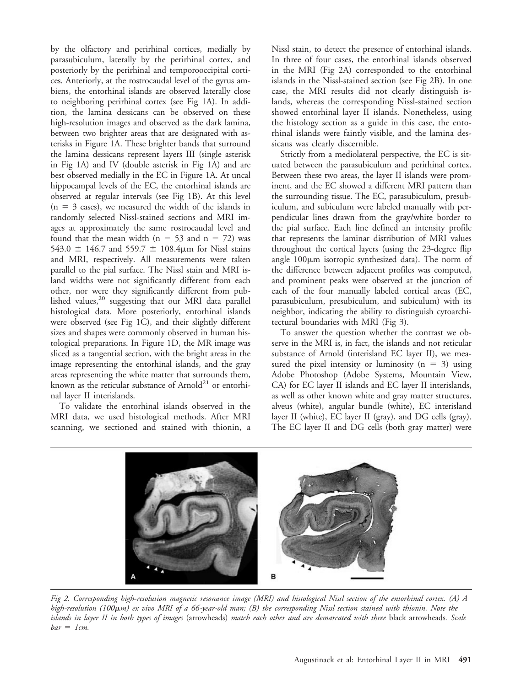by the olfactory and perirhinal cortices, medially by parasubiculum, laterally by the perirhinal cortex, and posteriorly by the perirhinal and temporooccipital cortices. Anteriorly, at the rostrocaudal level of the gyrus ambiens, the entorhinal islands are observed laterally close to neighboring perirhinal cortex (see Fig 1A). In addition, the lamina dessicans can be observed on these high-resolution images and observed as the dark lamina, between two brighter areas that are designated with asterisks in Figure 1A. These brighter bands that surround the lamina dessicans represent layers III (single asterisk in Fig 1A) and IV (double asterisk in Fig 1A) and are best observed medially in the EC in Figure 1A. At uncal hippocampal levels of the EC, the entorhinal islands are observed at regular intervals (see Fig 1B). At this level  $(n = 3 \text{ cases})$ , we measured the width of the islands in randomly selected Nissl-stained sections and MRI images at approximately the same rostrocaudal level and found that the mean width  $(n = 53$  and  $n = 72)$  was 543.0  $\pm$  146.7 and 559.7  $\pm$  108.4 $\mu$ m for Nissl stains and MRI, respectively. All measurements were taken parallel to the pial surface. The Nissl stain and MRI island widths were not significantly different from each other, nor were they significantly different from published values,<sup>20</sup> suggesting that our MRI data parallel histological data. More posteriorly, entorhinal islands were observed (see Fig 1C), and their slightly different sizes and shapes were commonly observed in human histological preparations. In Figure 1D, the MR image was sliced as a tangential section, with the bright areas in the image representing the entorhinal islands, and the gray areas representing the white matter that surrounds them, known as the reticular substance of Arnold<sup>21</sup> or entorhinal layer II interislands.

To validate the entorhinal islands observed in the MRI data, we used histological methods. After MRI scanning, we sectioned and stained with thionin, a

Nissl stain, to detect the presence of entorhinal islands. In three of four cases, the entorhinal islands observed in the MRI (Fig 2A) corresponded to the entorhinal islands in the Nissl-stained section (see Fig 2B). In one case, the MRI results did not clearly distinguish islands, whereas the corresponding Nissl-stained section showed entorhinal layer II islands. Nonetheless, using the histology section as a guide in this case, the entorhinal islands were faintly visible, and the lamina dessicans was clearly discernible.

Strictly from a mediolateral perspective, the EC is situated between the parasubiculum and perirhinal cortex. Between these two areas, the layer II islands were prominent, and the EC showed a different MRI pattern than the surrounding tissue. The EC, parasubiculum, presubiculum, and subiculum were labeled manually with perpendicular lines drawn from the gray/white border to the pial surface. Each line defined an intensity profile that represents the laminar distribution of MRI values throughout the cortical layers (using the 23-degree flip angle  $100 \mu m$  isotropic synthesized data). The norm of the difference between adjacent profiles was computed, and prominent peaks were observed at the junction of each of the four manually labeled cortical areas (EC, parasubiculum, presubiculum, and subiculum) with its neighbor, indicating the ability to distinguish cytoarchitectural boundaries with MRI (Fig 3).

To answer the question whether the contrast we observe in the MRI is, in fact, the islands and not reticular substance of Arnold (interisland EC layer II), we measured the pixel intensity or luminosity  $(n = 3)$  using Adobe Photoshop (Adobe Systems, Mountain View, CA) for EC layer II islands and EC layer II interislands, as well as other known white and gray matter structures, alveus (white), angular bundle (white), EC interisland layer II (white), EC layer II (gray), and DG cells (gray). The EC layer II and DG cells (both gray matter) were



*Fig 2. Corresponding high-resolution magnetic resonance image (MRI) and histological Nissl section of the entorhinal cortex. (A) A high-resolution (100m) ex vivo MRI of a 66-year-old man; (B) the corresponding Nissl section stained with thionin. Note the islands in layer II in both types of images* (arrowheads) *match each other and are demarcated with three* black arrowheads*. Scale*  $bar = 1cm$ .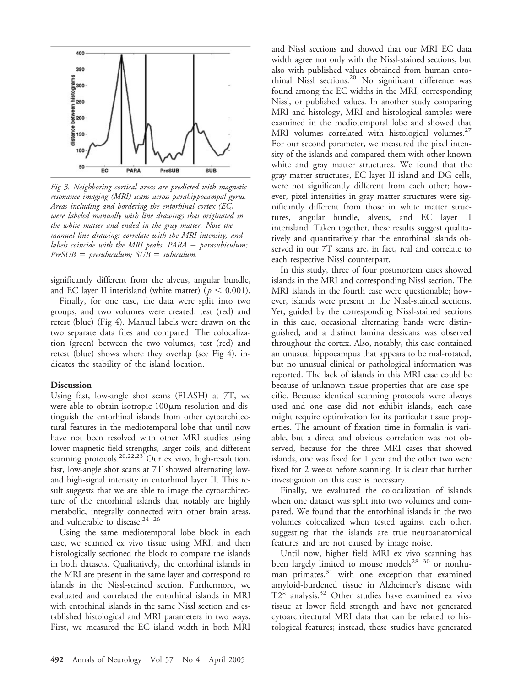

*Fig 3. Neighboring cortical areas are predicted with magnetic resonance imaging (MRI) scans across parahippocampal gyrus. Areas including and bordering the entorhinal cortex (EC) were labeled manually with line drawings that originated in the white matter and ended in the gray matter. Note the manual line drawings correlate with the MRI intensity, and labels coincide with the MRI peaks. PARA parasubiculum; PreSUB presubiculum; SUB subiculum.*

significantly different from the alveus, angular bundle, and EC layer II interisland (white matter) ( $p < 0.001$ ).

Finally, for one case, the data were split into two groups, and two volumes were created: test (red) and retest (blue) (Fig 4). Manual labels were drawn on the two separate data files and compared. The colocalization (green) between the two volumes, test (red) and retest (blue) shows where they overlap (see Fig 4), indicates the stability of the island location.

### **Discussion**

Using fast, low-angle shot scans (FLASH) at 7T, we were able to obtain isotropic  $100 \mu m$  resolution and distinguish the entorhinal islands from other cytoarchitectural features in the mediotemporal lobe that until now have not been resolved with other MRI studies using lower magnetic field strengths, larger coils, and different scanning protocols.<sup>20,22,23</sup> Our ex vivo, high-resolution, fast, low-angle shot scans at 7T showed alternating lowand high-signal intensity in entorhinal layer II. This result suggests that we are able to image the cytoarchitecture of the entorhinal islands that notably are highly metabolic, integrally connected with other brain areas, and vulnerable to disease. $24-26$ 

Using the same mediotemporal lobe block in each case, we scanned ex vivo tissue using MRI, and then histologically sectioned the block to compare the islands in both datasets. Qualitatively, the entorhinal islands in the MRI are present in the same layer and correspond to islands in the Nissl-stained section. Furthermore, we evaluated and correlated the entorhinal islands in MRI with entorhinal islands in the same Nissl section and established histological and MRI parameters in two ways. First, we measured the EC island width in both MRI

and Nissl sections and showed that our MRI EC data width agree not only with the Nissl-stained sections, but also with published values obtained from human entorhinal Nissl sections.20 No significant difference was found among the EC widths in the MRI, corresponding Nissl, or published values. In another study comparing MRI and histology, MRI and histological samples were examined in the mediotemporal lobe and showed that MRI volumes correlated with histological volumes.<sup>27</sup> For our second parameter, we measured the pixel intensity of the islands and compared them with other known white and gray matter structures. We found that the gray matter structures, EC layer II island and DG cells, were not significantly different from each other; however, pixel intensities in gray matter structures were significantly different from those in white matter structures, angular bundle, alveus, and EC layer II interisland. Taken together, these results suggest qualitatively and quantitatively that the entorhinal islands observed in our 7T scans are, in fact, real and correlate to each respective Nissl counterpart.

In this study, three of four postmortem cases showed islands in the MRI and corresponding Nissl section. The MRI islands in the fourth case were questionable; however, islands were present in the Nissl-stained sections. Yet, guided by the corresponding Nissl-stained sections in this case, occasional alternating bands were distinguished, and a distinct lamina dessicans was observed throughout the cortex. Also, notably, this case contained an unusual hippocampus that appears to be mal-rotated, but no unusual clinical or pathological information was reported. The lack of islands in this MRI case could be because of unknown tissue properties that are case specific. Because identical scanning protocols were always used and one case did not exhibit islands, each case might require optimization for its particular tissue properties. The amount of fixation time in formalin is variable, but a direct and obvious correlation was not observed, because for the three MRI cases that showed islands, one was fixed for 1 year and the other two were fixed for 2 weeks before scanning. It is clear that further investigation on this case is necessary.

Finally, we evaluated the colocalization of islands when one dataset was split into two volumes and compared. We found that the entorhinal islands in the two volumes colocalized when tested against each other, suggesting that the islands are true neuroanatomical features and are not caused by image noise.

Until now, higher field MRI ex vivo scanning has been largely limited to mouse models<sup>28-30</sup> or nonhuman primates, $31$  with one exception that examined amyloid-burdened tissue in Alzheimer's disease with T2\* analysis.32 Other studies have examined ex vivo tissue at lower field strength and have not generated cytoarchitectural MRI data that can be related to histological features; instead, these studies have generated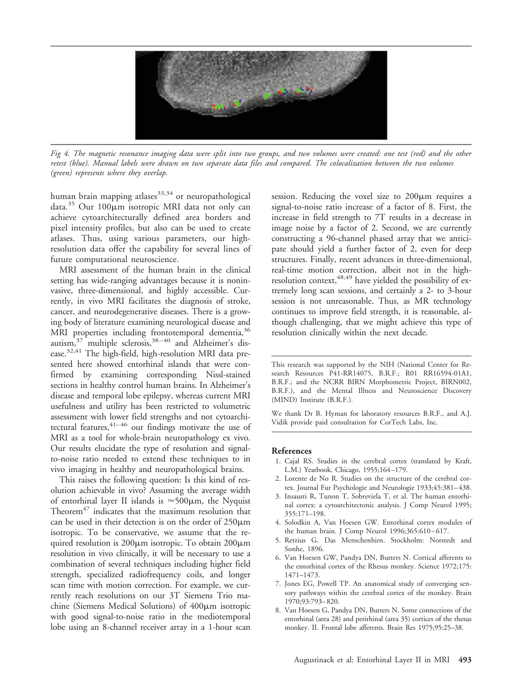

*Fig 4. The magnetic resonance imaging data were split into two groups, and two volumes were created: one test (red) and the other retest (blue). Manual labels were drawn on two separate data files and compared. The colocalization between the two volumes (green) represents where they overlap.*

human brain mapping atlases $33,34$  or neuropathological data.<sup>35</sup> Our 100µm isotropic MRI data not only can achieve cytoarchitecturally defined area borders and pixel intensity profiles, but also can be used to create atlases. Thus, using various parameters, our highresolution data offer the capability for several lines of future computational neuroscience.

MRI assessment of the human brain in the clinical setting has wide-ranging advantages because it is noninvasive, three-dimensional, and highly accessible. Currently, in vivo MRI facilitates the diagnosis of stroke, cancer, and neurodegenerative diseases. There is a growing body of literature examining neurological disease and MRI properties including frontotemporal dementia,<sup>36</sup> autism, $37$  multiple sclerosis, $38-40$  and Alzheimer's disease.<sup>32,41</sup> The high-field, high-resolution MRI data presented here showed entorhinal islands that were confirmed by examining corresponding Nissl-stained sections in healthy control human brains. In Alzheimer's disease and temporal lobe epilepsy, whereas current MRI usefulness and utility has been restricted to volumetric assessment with lower field strengths and not cytoarchitectural features,  $41-46$  our findings motivate the use of MRI as a tool for whole-brain neuropathology ex vivo. Our results elucidate the type of resolution and signalto-noise ratio needed to extend these techniques to in vivo imaging in healthy and neuropathological brains.

This raises the following question: Is this kind of resolution achievable in vivo? Assuming the average width of entorhinal layer II islands is  $\approx$  500 $\mu$ m, the Nyquist Theorem<sup>47</sup> indicates that the maximum resolution that can be used in their detection is on the order of  $250 \mu m$ isotropic. To be conservative, we assume that the required resolution is  $200 \mu m$  isotropic. To obtain  $200 \mu m$ resolution in vivo clinically, it will be necessary to use a combination of several techniques including higher field strength, specialized radiofrequency coils, and longer scan time with motion correction. For example, we currently reach resolutions on our 3T Siemens Trio machine (Siemens Medical Solutions) of  $400 \mu m$  isotropic with good signal-to-noise ratio in the mediotemporal lobe using an 8-channel receiver array in a 1-hour scan session. Reducing the voxel size to  $200 \mu m$  requires a signal-to-noise ratio increase of a factor of 8. First, the increase in field strength to 7T results in a decrease in image noise by a factor of 2. Second, we are currently constructing a 96-channel phased array that we anticipate should yield a further factor of 2, even for deep structures. Finally, recent advances in three-dimensional, real-time motion correction, albeit not in the highresolution context, <sup>48,49</sup> have yielded the possibility of extremely long scan sessions, and certainly a 2- to 3-hour session is not unreasonable. Thus, as MR technology continues to improve field strength, it is reasonable, although challenging, that we might achieve this type of resolution clinically within the next decade.

This research was supported by the NIH (National Center for Research Resources P41-RR14075, B.R.F.; R01 RR16594-01A1, B.R.F.; and the NCRR BIRN Morphometric Project, BIRN002, B.R.F.), and the Mental Illness and Neuroscience Discovery (MIND) Institute (B.R.F.).

We thank Dr B. Hyman for laboratory resources B.R.F., and A.J. Vidik provide paid consultation for CorTech Labs, Inc.

### **References**

- 1. Cajal RS. Studies in the cerebral cortex (translated by Kraft, L.M.) Yearbook, Chicago, 1955;164 –179.
- 2. Lorente de No R. Studies on the structure of the cerebral cortex. Journal Fur Psychologie and Neurologie 1933;45:381– 438.
- 3. Insausti R, Tunon T, Sobreviela T, et al. The human entorhinal cortex: a cytoarchitectonic analysis. J Comp Neurol 1995; 355:171–198.
- 4. Solodkin A, Van Hoesen GW. Entorhinal cortex modules of the human brain. J Comp Neurol 1996;365:610-617.
- 5. Retzius G. Das Menschenhirn. Stockholm: Norstedt and Sonhe, 1896.
- 6. Van Hoesen GW, Pandya DN, Butters N. Cortical afferents to the entorhinal cortex of the Rhesus monkey. Science 1972;175: 1471–1473.
- 7. Jones EG, Powell TP. An anatomical study of converging sensory pathways within the cerebral cortex of the monkey. Brain 1970;93:793– 820.
- 8. Van Hoesen G, Pandya DN, Butters N. Some connections of the entorhinal (area 28) and perirhinal (area 35) cortices of the rhesus monkey. II. Frontal lobe afferents. Brain Res 1975;95:25–38.